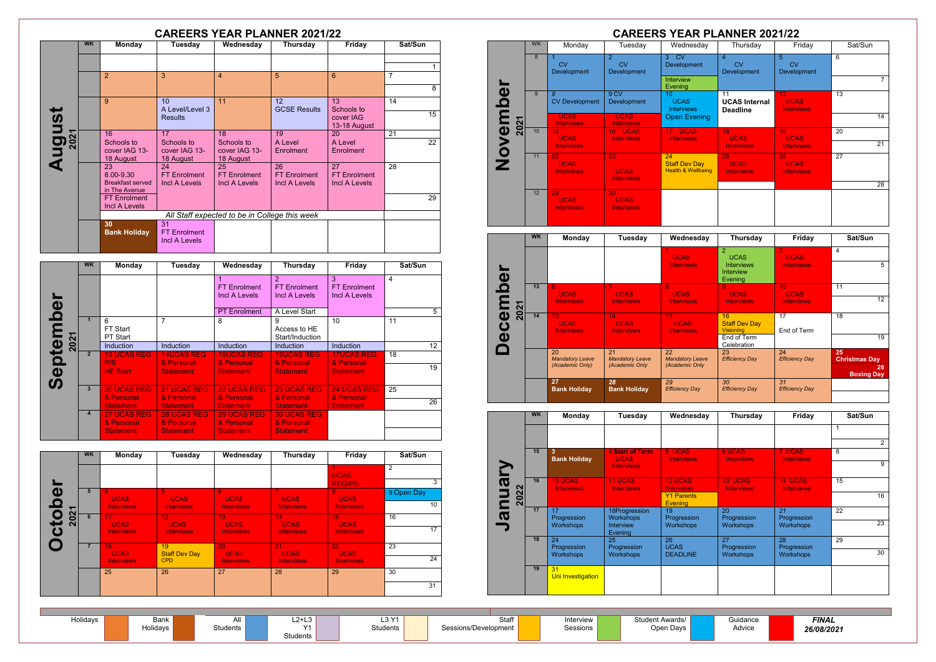| Holidays | Bank     | u.            | .<br>–∠⁄ +'<br>ື | 1.2 M<br>∟ບ | Staff                | Interview | <b>Student Awards</b> |
|----------|----------|---------------|------------------|-------------|----------------------|-----------|-----------------------|
|          | Holidays | .<br>دtudents | $\sqrt{4}$       | Students    | Sessions/Development | Sessions  | Open Davs             |
|          |          |               | Students         |             |                      |           |                       |

**Guidance** Advice

|               |           |                                            | <b>CAREERS YEAR PLANNER 2021/22</b>               |                                               |                                            |                                            |                |
|---------------|-----------|--------------------------------------------|---------------------------------------------------|-----------------------------------------------|--------------------------------------------|--------------------------------------------|----------------|
|               | <b>WK</b> | <b>Monday</b>                              | Tuesday                                           | Wednesday                                     | <b>Thursday</b>                            | Friday                                     | Sat/Sun        |
|               |           |                                            |                                                   |                                               |                                            |                                            | 1.             |
|               |           | $\overline{2}$                             | 3                                                 | $\overline{4}$                                | 5                                          | 6                                          | $\overline{7}$ |
|               |           |                                            |                                                   |                                               |                                            |                                            | 8              |
|               |           | 9                                          | 10 <sup>1</sup><br>A Level/Level 3                | 11                                            | 12<br><b>GCSE Results</b>                  | 13<br>Schools to                           | 14             |
|               |           |                                            | <b>Results</b>                                    |                                               |                                            | cover IAG<br>13-18 August                  | 15             |
|               |           | 16                                         | 17                                                | 18                                            | 19                                         | 20                                         | 21             |
| <b>August</b> |           | Schools to<br>cover IAG 13-<br>18 August   | Schools to<br>cover IAG 13-<br>18 August          | Schools to<br>cover IAG 13-<br>18 August      | Alevel<br>Enrolment                        | A Level<br><b>Enrolment</b>                | 22             |
|               |           | 23<br>8.00-9.30<br><b>Breakfast served</b> | 24<br><b>FT Enrolment</b><br>Incl A Levels        | 25<br><b>FT Enrolment</b><br>Incl A Levels    | 26<br><b>FT Enrolment</b><br>Incl A Levels | 27<br><b>FT Enrolment</b><br>Incl A Levels | 28             |
|               |           | in The Avenue                              |                                                   |                                               |                                            |                                            |                |
|               |           | <b>FT Enrolment</b><br>Incl A Levels       |                                                   |                                               |                                            |                                            | 29             |
|               |           |                                            |                                                   | All Staff expected to be in College this week |                                            |                                            |                |
|               |           | 30<br><b>Bank Holiday</b>                  | 31<br><b>FT Enrolment</b><br><b>Incl A Levels</b> |                                               |                                            |                                            |                |
|               | <b>WK</b> | <b>Monday</b>                              | <b>Tuesday</b>                                    | Wednesday                                     | <b>Thursday</b>                            | Friday                                     | Sat/Sun        |
|               |           |                                            |                                                   | 1<br><b>FT Enrolment</b>                      | $\overline{2}$<br><b>FT Enrolment</b>      | 3<br><b>FT Enrolment</b>                   | $\overline{4}$ |

| $\boldsymbol{\omega}$      |                |                                                      |                                                      | <b>FT Enrolment</b><br>Incl A Levels                 | $\mathcal{P}$<br><b>FT Enrolment</b><br>Incl A Levels | 3<br><b>FT Enrolment</b><br>Incl A Levels           | 4               |
|----------------------------|----------------|------------------------------------------------------|------------------------------------------------------|------------------------------------------------------|-------------------------------------------------------|-----------------------------------------------------|-----------------|
| $\boldsymbol{\Omega}$      |                |                                                      |                                                      | <b>PT</b> Enrolment                                  | A Level Start                                         |                                                     | 5               |
| 2021                       |                | 6<br>FT Start<br><b>PT Start</b>                     | 7                                                    | 8                                                    | 9<br>Access to HE<br>Start/Induction                  | 10                                                  | 11              |
|                            |                | <b>Induction</b>                                     | <b>Induction</b>                                     | <b>Induction</b>                                     | <b>Induction</b>                                      | <b>Induction</b>                                    | 12 <sup>2</sup> |
| E<br>$\boldsymbol{\omega}$ | $\overline{2}$ | <b>13 UCAS REG</b><br>P/S<br><b>HE Start</b>         | <b>14UCAS REG</b><br>& Personal<br><b>Statement</b>  | <b>15UCAS REG</b><br>& Personal<br><b>Statement</b>  | <b>16UCAS REG</b><br>& Personal<br><b>Statement</b>   | <b>17UCAS REG</b><br>& Personal<br><b>Statement</b> | 18<br>19        |
|                            | 3 <sup>1</sup> | <b>20 UCAS REG</b><br>& Personal                     | <b>21 UCAS REG</b><br>& Personal                     | <b>22 UCAS REG</b><br>& Personal                     | <b>23 UCAS REG</b><br>& Personal                      | <b>24 UCAS REG</b><br>& Personal                    | 25              |
|                            |                | <b>Statement</b>                                     | <b>Statement</b>                                     | <b>Statement</b>                                     | <b>Statement</b>                                      | Statement                                           | 26              |
|                            | $\overline{4}$ | <b>27 UCAS REG</b><br>& Personal<br><b>Statement</b> | <b>28 UCAS REG</b><br>& Personal<br><b>Statement</b> | <b>29 UCAS REG</b><br>& Personal<br><b>Statement</b> | <b>30 UCAS REG</b><br>& Personal<br><b>Statement</b>  |                                                     |                 |

|                         | <b>WK</b> | <b>Monday</b>           | <b>Tuesday</b>                 | Wednesday                      | <b>Thursday</b>             | Friday                         | Sat/Sun         |
|-------------------------|-----------|-------------------------|--------------------------------|--------------------------------|-----------------------------|--------------------------------|-----------------|
|                         |           |                         |                                |                                |                             | <b>UCAS</b>                    | $\overline{2}$  |
|                         |           |                         |                                |                                |                             | <b>REG/PS</b>                  | 3               |
| $\boldsymbol{\omega}$   | 5         | $\Delta$<br><b>UCAS</b> | 5.<br><b>UCAS</b>              | 6<br><b>UCAS</b>               | $\mathbf{7}$<br><b>UCAS</b> | 8<br><b>UCAS</b>               | 9 Open Day      |
| $\bar{\mathbf{O}}$<br>ᅮ |           | <b>Interviews</b>       | <b>Interviews</b>              | <b>Interviews</b>              | <b>Interviews</b>           | <b>Interviews</b>              | 10 <sup>°</sup> |
| 202                     | 6         | 11<br><b>UCAS</b>       | 12 <sub>1</sub><br><b>UCAS</b> | 13 <sup>°</sup><br><b>UCAS</b> | 14<br><b>UCAS</b>           | 15 <sub>1</sub><br><b>UCAS</b> | 16              |
| ゼ                       |           | <b>Interviews</b>       | <b>Interviews</b>              | <b>Interviews</b>              | <b>Interviews</b>           | <b>Interviews</b>              | 17              |
|                         |           | 18<br><b>UCAS</b>       | 19<br><b>Staff Dev Day</b>     | 20<br><b>UCAS</b>              | 21<br><b>UCAS</b>           | 22 <sub>2</sub><br><b>UCAS</b> | 23              |
|                         |           | <b>Interviews</b>       | <b>CPD</b>                     | <b>Interviews</b>              | <b>Interviews</b>           | Interviews                     | 24              |
|                         |           | 25                      | 26                             | 27                             | 28                          | 29                             | 30              |
|                         |           |                         |                                |                                |                             |                                | 31              |

|       |           |                                                     |                                        | <b>CAREERS YEAR PLANNER 2021/22</b>                         |                                               |                                        |          |
|-------|-----------|-----------------------------------------------------|----------------------------------------|-------------------------------------------------------------|-----------------------------------------------|----------------------------------------|----------|
|       | <b>WK</b> | Monday                                              | Tuesday                                | Wednesday                                                   | Thursday                                      | Friday                                 | Sat/Sun  |
|       | 8         | CV<br>Development                                   | $\overline{2}$<br>CV<br>Development    | <b>CV</b><br>$3 -$<br>Development<br>Interview<br>Evening   | $\overline{4}$<br>CV<br>Development           | 5<br>CV<br><b>Development</b>          | 6<br>7   |
| mbe   | 9         | 8<br><b>CV Development</b>                          | 9CV<br>Development                     | 10 <sup>1</sup><br><b>UCAS</b><br><b>Interviews</b>         | 11<br><b>UCAS Internal</b><br><b>Deadline</b> | 12<br><b>UCAS</b><br><b>Interviews</b> | 13       |
| 2021  |           | <b>UCAS</b><br><b>Interviews</b>                    | <b>UCAS</b><br><b>Interviews</b>       | <b>Open Evening</b>                                         |                                               |                                        | 14       |
| Nover | 10        | 15<br><b>UCAS</b><br><b>Interviews</b>              | 16 UCAS<br><b>Interviews</b>           | 17 UCAS<br><b>Interviews</b>                                | 18<br><b>UCAS</b><br><b>Interviews</b>        | 19<br><b>UCAS</b><br><b>Interviews</b> | 20<br>21 |
|       | 11        | 22 <sub>1</sub><br><b>UCAS</b><br><b>Interviews</b> | 23<br><b>UCAS</b><br><b>Interviews</b> | 24<br><b>Staff Dev Day</b><br><b>Health &amp; Wellbeing</b> | 25<br><b>UCAS</b><br><b>Interviews</b>        | 26<br><b>UCAS</b><br><b>Interviews</b> | 27       |
|       | 12        | 29                                                  | 30                                     |                                                             |                                               |                                        | 28       |
|       |           | <b>UCAS</b><br><b>Interviews</b>                    | <b>UCAS</b><br><b>Interviews</b>       |                                                             |                                               |                                        |          |

|                                                                                                    | <b>WK</b> | <b>Monday</b>                                   | Tuesday                                            | Wednesday                                      | Thursday                                                                     | Friday                                              | Sat/Sun                                               |
|----------------------------------------------------------------------------------------------------|-----------|-------------------------------------------------|----------------------------------------------------|------------------------------------------------|------------------------------------------------------------------------------|-----------------------------------------------------|-------------------------------------------------------|
| $\boldsymbol{\omega}$                                                                              |           |                                                 |                                                    | <b>UCAS</b><br><b>Interviews</b>               | $\overline{2}$<br><b>UCAS</b><br><b>Interviews</b><br>Interview<br>Evening   | 3<br><b>UCAS</b><br><b>Interviews</b>               | $\overline{4}$<br>5                                   |
| mb<br>$\overline{21}$                                                                              | 13        | 6<br><b>UCAS</b><br><b>Interviews</b>           | $\overline{7}$<br><b>UCAS</b><br><b>Interviews</b> | 8<br><b>UCAS</b><br><b>Interviews</b>          | 9<br><b>UCAS</b><br><b>Interviews</b>                                        | 10 <sup>1</sup><br><b>UCAS</b><br><b>Interviews</b> | 11<br>12 <sup>2</sup>                                 |
| $\overline{\mathbf{C}}$<br>$\overline{\mathbf{S}}$<br>$\overline{\mathbf{C}}$<br>$\mathbf  \omega$ | 14        | 13<br><b>UCAS</b><br><b>Interviews</b>          | 14<br><b>UCAS</b><br><b>Interviews</b>             | 15<br><b>UCAS</b><br><b>Interviews</b>         | 16<br><b>Staff Dev Day</b><br><b>Visioning</b><br>End of Term<br>Celebration | 17<br>End of Term                                   | 18<br>19                                              |
|                                                                                                    |           | 20<br><b>Mandatory Leave</b><br>(Academic Only) | 21<br><b>Mandatory Leave</b><br>(Academic Only     | 22<br><b>Mandatory Leave</b><br>(Academic Only | 23<br><b>Efficiency Day</b>                                                  | 24<br><b>Efficiency Day</b>                         | 25<br><b>Christmas Day</b><br>26<br><b>Boxing Day</b> |
|                                                                                                    |           | 27<br><b>Bank Holiday</b>                       | 28<br><b>Bank Holiday</b>                          | 29<br><b>Efficiency Day</b>                    | 30<br><b>Efficiency Day</b>                                                  | 31<br><b>Efficiency Day</b>                         |                                                       |

|                       | <b>WK</b> | <b>Monday</b>                       | Tuesday                                                          | Wednesday                                                                  | <b>Thursday</b>                       | <b>Friday</b>                         | Sat/Sun                  |
|-----------------------|-----------|-------------------------------------|------------------------------------------------------------------|----------------------------------------------------------------------------|---------------------------------------|---------------------------------------|--------------------------|
|                       |           |                                     |                                                                  |                                                                            |                                       |                                       |                          |
|                       | 15        | 3<br><b>Bank Holiday</b>            | <b>4 Start of Term</b><br><b>UCAS</b><br><b>Interviews</b>       | 5 UCAS<br><b>Interviews</b>                                                | <b>6 UCAS</b><br><b>Interviews</b>    | 7 UCAS<br><b>Interviews</b>           | $\overline{2}$<br>8<br>9 |
| <b>Niel</b><br>2022   | 16        | <b>10 UCAS</b><br><b>Interviews</b> | <b>11 UCAS</b><br><b>Interviews</b>                              | <b>12 UCAS</b><br><b>Interviews</b><br><b>Y1 Parents</b><br><b>Evening</b> | <b>13 UCAS</b><br><b>Interviews</b>   | 14 UCAS<br><b>Interviews</b>          | 15<br>16                 |
| $\boldsymbol{\sigma}$ | 17        | 17<br>Progression<br>Workshops      | 18Progression<br><b>Workshops</b><br><b>Interview</b><br>Evening | 19<br>Progression<br><b>Workshops</b>                                      | 20<br>Progression<br>Workshops        | 21<br>Progression<br><b>Workshops</b> | 22<br>23                 |
|                       | 18        | 24<br>Progression<br>Workshops      | 25<br>Progression<br><b>Workshops</b>                            | 26<br><b>UCAS</b><br><b>DEADLINE</b>                                       | 27<br>Progression<br><b>Workshops</b> | 28<br>Progression<br><b>Workshops</b> | 29<br>30                 |
|                       | 19        | 31<br>Uni Investigation             |                                                                  |                                                                            |                                       |                                       |                          |